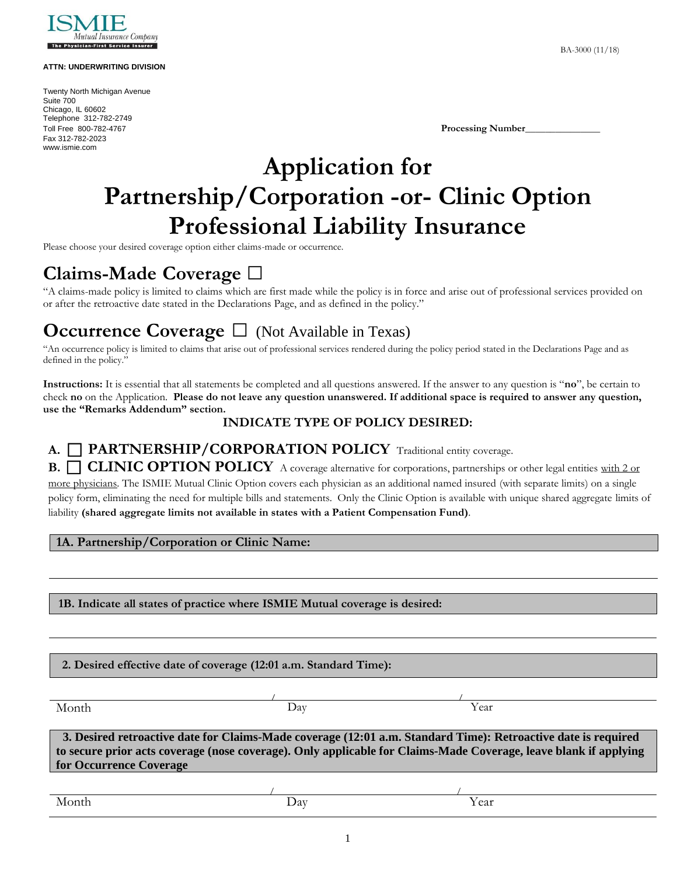

#### **ATTN: UNDERWRITING DIVISION**

Twenty North Michigan Avenue Suite 700 Chicago, IL 60602 Telephone 312-782-2749 Toll Free 800-782-4767 **Processing Number\_** Fax 312-782-2023 www.ismie.com

# **Application for Partnership/Corporation -or- Clinic Option Professional Liability Insurance**

Please choose your desired coverage option either claims-made or occurrence.

# **Claims-Made Coverage □**

"A claims-made policy is limited to claims which are first made while the policy is in force and arise out of professional services provided on or after the retroactive date stated in the Declarations Page, and as defined in the policy."

# **Occurrence Coverage** □ (Not Available in Texas)

"An occurrence policy is limited to claims that arise out of professional services rendered during the policy period stated in the Declarations Page and as defined in the policy."

**Instructions:** It is essential that all statements be completed and all questions answered. If the answer to any question is "**no**", be certain to check **no** on the Application. **Please do not leave any question unanswered. If additional space is required to answer any question, use the "Remarks Addendum" section.**

# **INDICATE TYPE OF POLICY DESIRED:**

# **A. PARTNERSHIP/CORPORATION POLICY** Traditional entity coverage.

**B.**  $\Box$  **CLINIC OPTION POLICY** A coverage alternative for corporations, partnerships or other legal entities with 2 or more physicians. The ISMIE Mutual Clinic Option covers each physician as an additional named insured (with separate limits) on a single policy form, eliminating the need for multiple bills and statements. Only the Clinic Option is available with unique shared aggregate limits of liability **(shared aggregate limits not available in states with a Patient Compensation Fund)**.

**1A. Partnership/Corporation or Clinic Name:**

### **1B. Indicate all states of practice where ISMIE Mutual coverage is desired:**

 **2. Desired effective date of coverage (12:01 a.m. Standard Time):**

*Month* Day *Year* 

 **3. Desired retroactive date for Claims-Made coverage (12:01 a.m. Standard Time): Retroactive date is required to secure prior acts coverage (nose coverage). Only applicable for Claims-Made Coverage, leave blank if applying for Occurrence Coverage**

/ /

Month Day Day Pear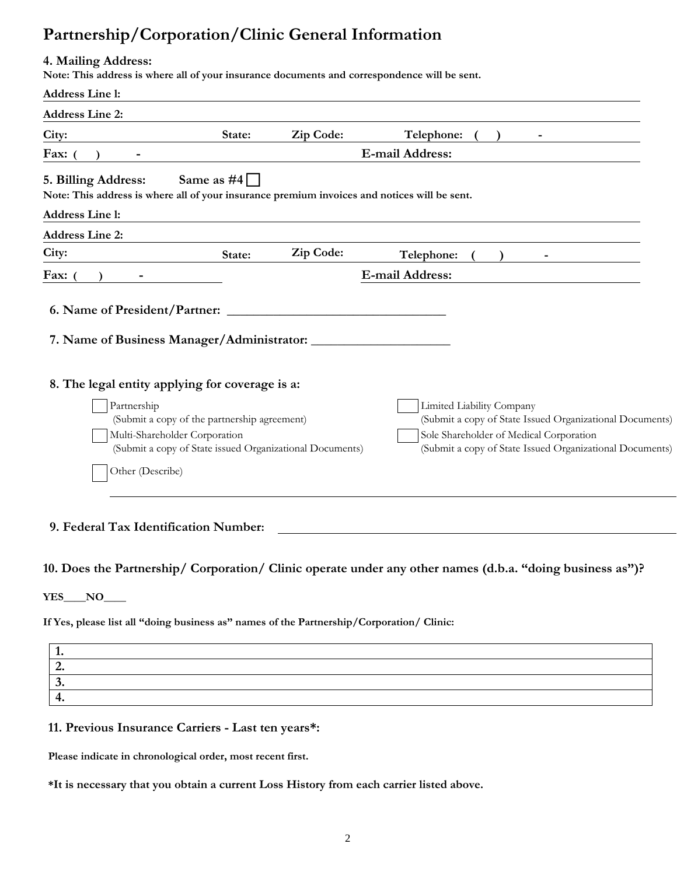# **Partnership/Corporation/Clinic General Information**

### **4. Mailing Address:**

**Note: This address is where all of your insurance documents and correspondence will be sent.**

| <b>Address Line 1:</b>                                                                                                                        |                                              |                                                          |                                                                                                                                                                                              |
|-----------------------------------------------------------------------------------------------------------------------------------------------|----------------------------------------------|----------------------------------------------------------|----------------------------------------------------------------------------------------------------------------------------------------------------------------------------------------------|
| <b>Address Line 2:</b>                                                                                                                        |                                              |                                                          |                                                                                                                                                                                              |
| City:                                                                                                                                         | State:                                       | Zip Code:                                                | Telephone:                                                                                                                                                                                   |
| Fax: (                                                                                                                                        |                                              |                                                          | <b>E-mail Address:</b>                                                                                                                                                                       |
| 5. Billing Address:<br>Note: This address is where all of your insurance premium invoices and notices will be sent.<br><b>Address Line l:</b> | Same as $#4$                                 |                                                          |                                                                                                                                                                                              |
| <b>Address Line 2:</b>                                                                                                                        |                                              |                                                          |                                                                                                                                                                                              |
| City:                                                                                                                                         | State:                                       | Zip Code:                                                | Telephone:                                                                                                                                                                                   |
| Fax:                                                                                                                                          |                                              |                                                          | <b>E-mail Address:</b>                                                                                                                                                                       |
|                                                                                                                                               |                                              |                                                          |                                                                                                                                                                                              |
| 8. The legal entity applying for coverage is a:                                                                                               |                                              |                                                          |                                                                                                                                                                                              |
| Partnership<br>Multi-Shareholder Corporation<br>Other (Describe)                                                                              | (Submit a copy of the partnership agreement) | (Submit a copy of State issued Organizational Documents) | Limited Liability Company<br>(Submit a copy of State Issued Organizational Documents)<br>Sole Shareholder of Medical Corporation<br>(Submit a copy of State Issued Organizational Documents) |
|                                                                                                                                               |                                              |                                                          |                                                                                                                                                                                              |

### **9. Federal Tax Identification Number:**

**10. Does the Partnership/ Corporation/ Clinic operate under any other names (d.b.a. "doing business as")?** 

#### **YES\_\_\_\_NO\_\_\_\_**

**If Yes, please list all "doing business as" names of the Partnership/Corporation/ Clinic:**

| ∼⊷ |  |
|----|--|
|    |  |
|    |  |

### **11. Previous Insurance Carriers - Last ten years\*:**

**Please indicate in chronological order, most recent first.**

**\*It is necessary that you obtain a current Loss History from each carrier listed above.**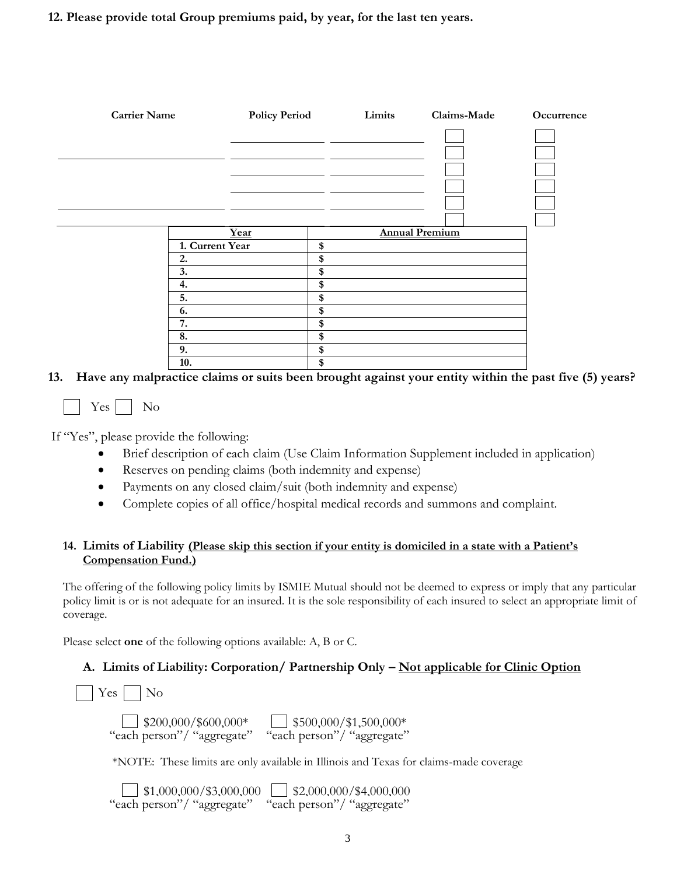**12. Please provide total Group premiums paid, by year, for the last ten years.** 



# **13. Have any malpractice claims or suits been brought against your entity within the past five (5) years?**

Yes No

If "Yes", please provide the following:

- Brief description of each claim (Use Claim Information Supplement included in application)
- Reserves on pending claims (both indemnity and expense)
- Payments on any closed claim/suit (both indemnity and expense)
- Complete copies of all office/hospital medical records and summons and complaint.

### **14. Limits of Liability (Please skip this section if your entity is domiciled in a state with a Patient's Compensation Fund.)**

The offering of the following policy limits by ISMIE Mutual should not be deemed to express or imply that any particular policy limit is or is not adequate for an insured. It is the sole responsibility of each insured to select an appropriate limit of coverage.

Please select **one** of the following options available: A, B or C.

### **A. Limits of Liability: Corporation/ Partnership Only – Not applicable for Clinic Option**

Yes No

| $$200,000/\$600,000*$      | $\frac{1}{2}$ \$500,000/\$1,500,000* |
|----------------------------|--------------------------------------|
| "each person"/ "aggregate" | "each person"/ "aggregate"           |

\*NOTE: These limits are only available in Illinois and Texas for claims-made coverage

| $$1,000,000$ /\$3,000,000  | $\frac{1}{2}$ \$2,000,000/\$4,000,000 |
|----------------------------|---------------------------------------|
| "each person"/ "aggregate" | "each person"/ "aggregate"            |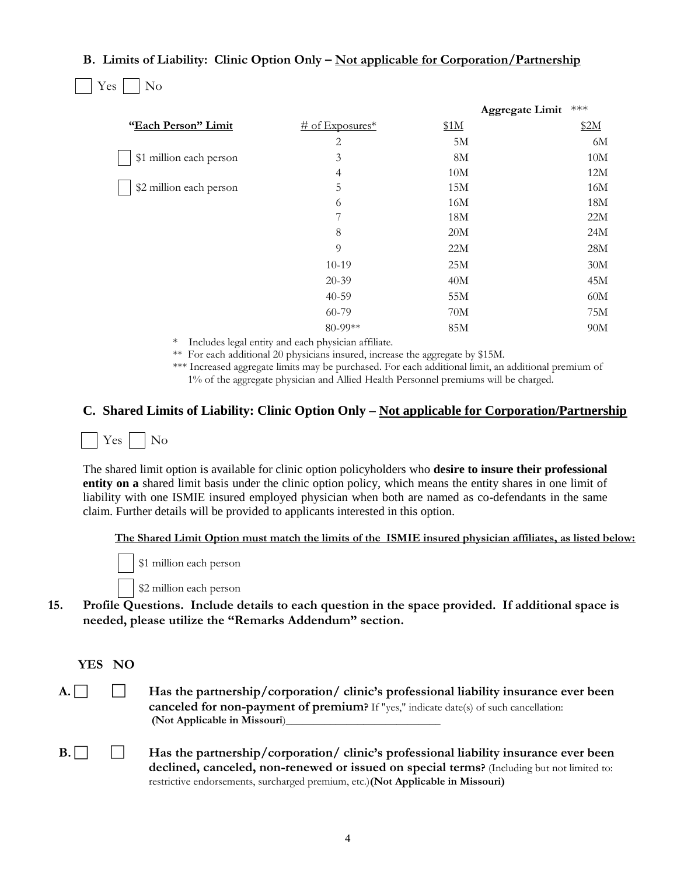# **B. Limits of Liability: Clinic Option Only – Not applicable for Corporation/Partnership**

 $Yes$  No

|                         |                                                 |      | <b>Aggregate Limit</b> | ***  |
|-------------------------|-------------------------------------------------|------|------------------------|------|
| "Each Person" Limit     | $\#$ of Exposures*                              | \$1M |                        | \$2M |
|                         | 2                                               | 5M   |                        | 6M   |
| \$1 million each person | 3                                               | 8M   |                        | 10M  |
|                         | 4                                               | 10M  |                        | 12M  |
| \$2 million each person | 5                                               | 15M  |                        | 16M  |
|                         | 6                                               | 16M  |                        | 18M  |
|                         | 7                                               | 18M  |                        | 22M  |
|                         | 8                                               | 20M  |                        | 24M  |
|                         | 9                                               | 22M  |                        | 28M  |
|                         | $10-19$                                         | 25M  |                        | 30M  |
|                         | $20-39$                                         | 40M  |                        | 45M  |
|                         | $40 - 59$                                       | 55M  |                        | 60M  |
|                         | 60-79                                           | 70M  |                        | 75M  |
|                         | $80-99**$                                       | 85M  |                        | 90M  |
|                         | w T 1 1 1 1 1 1 1 1 1 1 1 1 1<br>$CT^{\bullet}$ |      |                        |      |

\* Includes legal entity and each physician affiliate.

\*\* For each additional 20 physicians insured, increase the aggregate by \$15M.

\*\*\* Increased aggregate limits may be purchased. For each additional limit, an additional premium of 1% of the aggregate physician and Allied Health Personnel premiums will be charged.

# **C. Shared Limits of Liability: Clinic Option Only – Not applicable for Corporation/Partnership**

 $Yes \mid No$ 

The shared limit option is available for clinic option policyholders who **desire to insure their professional entity on a** shared limit basis under the clinic option policy, which means the entity shares in one limit of liability with one ISMIE insured employed physician when both are named as co-defendants in the same claim. Further details will be provided to applicants interested in this option.

**The Shared Limit Option must match the limits of the ISMIE insured physician affiliates, as listed below:** 



\$2 million each person

**15. Profile Questions. Include details to each question in the space provided. If additional space is needed, please utilize the "Remarks Addendum" section.** 

**YES NO**

- A. **Has the partnership/corporation/ clinic's professional liability insurance ever been canceled for non-payment of premium?** If "yes," indicate date(s) of such cancellation: **(Not Applicable in Missouri**)\_\_\_\_\_\_\_\_\_\_\_\_\_\_\_\_\_\_\_\_\_\_\_\_\_\_\_\_
- **B. Has the partnership/corporation/ clinic's professional liability insurance ever been declined, canceled, non-renewed or issued on special terms?** (Including but not limited to: restrictive endorsements, surcharged premium, etc.)**(Not Applicable in Missouri)**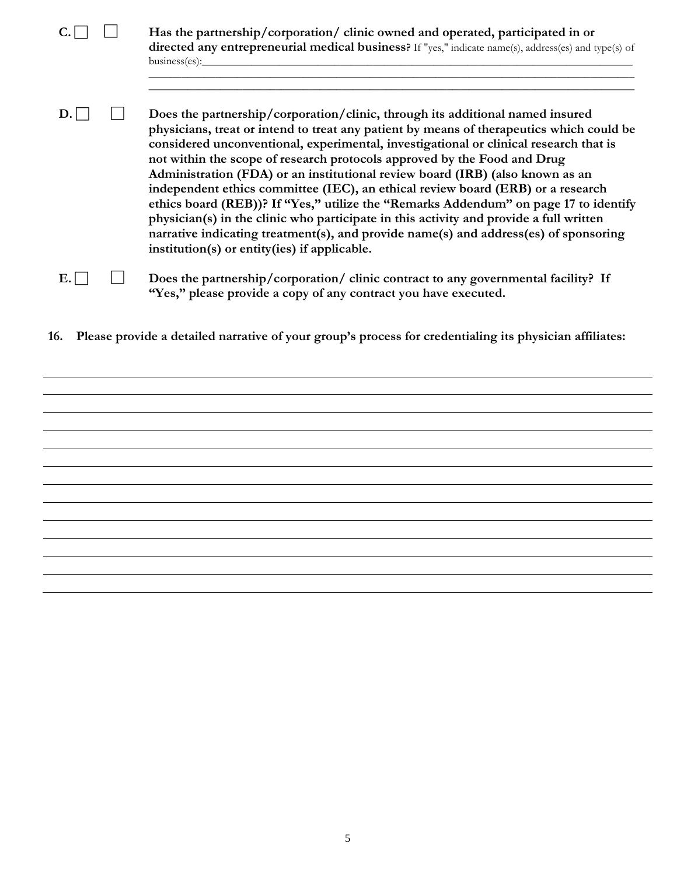|     | Has the partnership/corporation/ clinic owned and operated, participated in or<br>directed any entrepreneurial medical business? If "yes," indicate name(s), address(es) and type(s) of<br>business(es):                                                                                                                                                                                                                                                                                                                                                                                                                                                                                                                                                                                                                                     |
|-----|----------------------------------------------------------------------------------------------------------------------------------------------------------------------------------------------------------------------------------------------------------------------------------------------------------------------------------------------------------------------------------------------------------------------------------------------------------------------------------------------------------------------------------------------------------------------------------------------------------------------------------------------------------------------------------------------------------------------------------------------------------------------------------------------------------------------------------------------|
| 1). | Does the partnership/corporation/clinic, through its additional named insured<br>physicians, treat or intend to treat any patient by means of therapeutics which could be<br>considered unconventional, experimental, investigational or clinical research that is<br>not within the scope of research protocols approved by the Food and Drug<br>Administration (FDA) or an institutional review board (IRB) (also known as an<br>independent ethics committee (IEC), an ethical review board (ERB) or a research<br>ethics board (REB))? If "Yes," utilize the "Remarks Addendum" on page 17 to identify<br>physician(s) in the clinic who participate in this activity and provide a full written<br>narrative indicating treatment(s), and provide name(s) and address(es) of sponsoring<br>institution(s) or entity(ies) if applicable. |
| Е.  | Does the partnership/corporation/ clinic contract to any governmental facility? If<br>"Yes," please provide a copy of any contract you have executed.                                                                                                                                                                                                                                                                                                                                                                                                                                                                                                                                                                                                                                                                                        |

**16. Please provide a detailed narrative of your group's process for credentialing its physician affiliates:**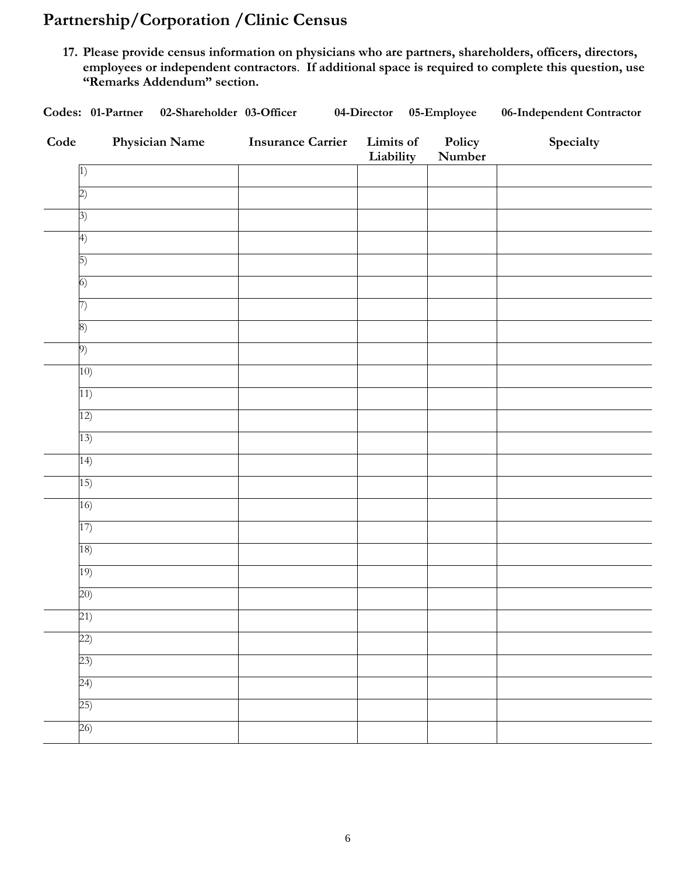# **Partnership/Corporation /Clinic Census**

**17. Please provide census information on physicians who are partners, shareholders, officers, directors, employees or independent contractors**. **If additional space is required to complete this question, use "Remarks Addendum" section.**

| Codes: 01-Partner | 02-Shareholder 03-Officer |                          | 04-Director            | 05-Employee      | 06-Independent Contractor |
|-------------------|---------------------------|--------------------------|------------------------|------------------|---------------------------|
| $\mathbf{Code}$   | Physician Name            | <b>Insurance Carrier</b> | Limits of<br>Liability | Policy<br>Number | Specialty                 |
| $\vert 1 \rangle$ |                           |                          |                        |                  |                           |
| 2)                |                           |                          |                        |                  |                           |
| $\left(3\right)$  |                           |                          |                        |                  |                           |
| $\left(4\right)$  |                           |                          |                        |                  |                           |
| 5)                |                           |                          |                        |                  |                           |
| (6)               |                           |                          |                        |                  |                           |
| 7)                |                           |                          |                        |                  |                           |
| 8)                |                           |                          |                        |                  |                           |
| 9)                |                           |                          |                        |                  |                           |
| 10)               |                           |                          |                        |                  |                           |
| 11)               |                           |                          |                        |                  |                           |
| 12)               |                           |                          |                        |                  |                           |
| 13)               |                           |                          |                        |                  |                           |
| (14)              |                           |                          |                        |                  |                           |
| 15)               |                           |                          |                        |                  |                           |
| 16)               |                           |                          |                        |                  |                           |
| 17)               |                           |                          |                        |                  |                           |
| 18)               |                           |                          |                        |                  |                           |
| 19)               |                           |                          |                        |                  |                           |
| $\overline{20)}$  |                           |                          |                        |                  |                           |
| (21)              |                           |                          |                        |                  |                           |
| (22)              |                           |                          |                        |                  |                           |
| (23)              |                           |                          |                        |                  |                           |
| (24)              |                           |                          |                        |                  |                           |
| (25)              |                           |                          |                        |                  |                           |
| (26)              |                           |                          |                        |                  |                           |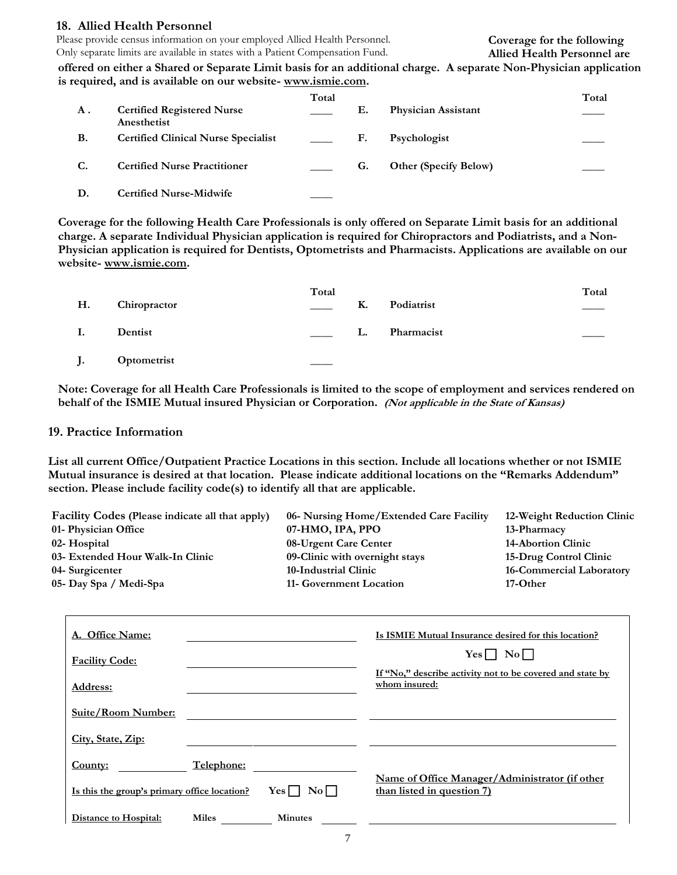#### **18. Allied Health Personnel**

Please provide census information on your employed Allied Health Personnel. Only separate limits are available in states with a Patient Compensation Fund.

**Coverage for the following** 

**Allied Health Personnel are offered on either a Shared or Separate Limit basis for an additional charge. A separate Non-Physician application is required, and is available on our website- [www.ismie.com.](http://www.ismie.com/)** 

|    |                                                  | Total |    |                              | Total |
|----|--------------------------------------------------|-------|----|------------------------------|-------|
| A. | <b>Certified Registered Nurse</b><br>Anesthetist |       | Е. | <b>Physician Assistant</b>   |       |
| В. | <b>Certified Clinical Nurse Specialist</b>       |       | F. | Psychologist                 |       |
| C. | <b>Certified Nurse Practitioner</b>              |       | G. | <b>Other (Specify Below)</b> |       |
| D. | <b>Certified Nurse-Midwife</b>                   |       |    |                              |       |

**Coverage for the following Health Care Professionals is only offered on Separate Limit basis for an additional charge. A separate Individual Physician application is required for Chiropractors and Podiatrists, and a Non-Physician application is required for Dentists, Optometrists and Pharmacists. Applications are available on our website- [www.ismie.com.](http://www.ismie.com/)** 

| Н. | Chiropractor | Total | К. | Podiatrist | Total |
|----|--------------|-------|----|------------|-------|
| Ι. | Dentist      |       | L. | Pharmacist |       |
| J. | Optometrist  |       |    |            |       |

**Note: Coverage for all Health Care Professionals is limited to the scope of employment and services rendered on behalf of the ISMIE Mutual insured Physician or Corporation. (Not applicable in the State of Kansas)**

#### **19. Practice Information**

**List all current Office/Outpatient Practice Locations in this section. Include all locations whether or not ISMIE Mutual insurance is desired at that location. Please indicate additional locations on the "Remarks Addendum" section. Please include facility code(s) to identify all that are applicable.** 

| Facility Codes (Please indicate all that apply) | 06- Nursing Home/Extended Care Facility | 12-Weight Reduction Clinic |
|-------------------------------------------------|-----------------------------------------|----------------------------|
| 01- Physician Office                            | 07-HMO, IPA, PPO                        | 13-Pharmacy                |
| 02- Hospital                                    | 08-Urgent Care Center                   | 14-Abortion Clinic         |
| 03- Extended Hour Walk-In Clinic                | 09-Clinic with overnight stays          | 15-Drug Control Clinic     |
| 04- Surgicenter                                 | 10-Industrial Clinic                    | 16-Commercial Laboratory   |
| 05- Day Spa / Medi-Spa                          | 11- Government Location                 | 17-Other                   |

| A. Office Name:                              |                 | Is ISMIE Mutual Insurance desired for this location?                            |
|----------------------------------------------|-----------------|---------------------------------------------------------------------------------|
| <b>Facility Code:</b>                        |                 | $Yes \Box No \Box$<br>If "No," describe activity not to be covered and state by |
| Address:                                     |                 | whom insured:                                                                   |
| <b>Suite/Room Number:</b>                    |                 |                                                                                 |
| City, State, Zip:                            |                 |                                                                                 |
| Telephone:<br>County:                        |                 |                                                                                 |
| Is this the group's primary office location? | $\rm No$<br>Yes | Name of Office Manager/Administrator (if other<br>than listed in question 7)    |
| <b>Miles</b><br>Distance to Hospital:        | <b>Minutes</b>  |                                                                                 |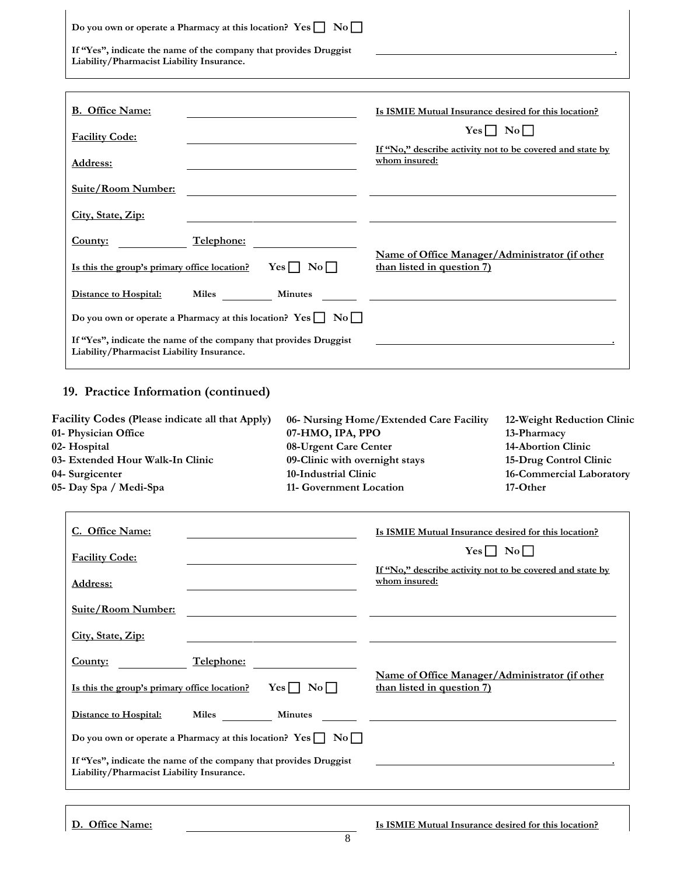| Do you own or operate a Pharmacy at this location? $Yes \Box No \Box$<br>If "Yes", indicate the name of the company that provides Druggist<br>Liability/Pharmacist Liability Insurance. |                                                                              |
|-----------------------------------------------------------------------------------------------------------------------------------------------------------------------------------------|------------------------------------------------------------------------------|
| <b>B.</b> Office Name:                                                                                                                                                                  | Is ISMIE Mutual Insurance desired for this location?                         |
| <b>Facility Code:</b>                                                                                                                                                                   | $Yes \Box No \Box$                                                           |
| Address:                                                                                                                                                                                | If "No," describe activity not to be covered and state by<br>whom insured:   |
| <b>Suite/Room Number:</b>                                                                                                                                                               |                                                                              |
| City, State, Zip:                                                                                                                                                                       |                                                                              |
| Telephone:<br><b>County:</b>                                                                                                                                                            |                                                                              |
| $Yes \Box No \Box$<br>Is this the group's primary office location?                                                                                                                      | Name of Office Manager/Administrator (if other<br>than listed in question 7) |
| <b>Distance to Hospital:</b>                                                                                                                                                            |                                                                              |
| Do you own or operate a Pharmacy at this location? $Yes \Box No \Box$                                                                                                                   |                                                                              |
| If "Yes", indicate the name of the company that provides Druggist<br>Liability/Pharmacist Liability Insurance.                                                                          |                                                                              |

# **19. Practice Information (continued)**

| Facility Codes (Please indicate all that Apply) | 06- Nursing Home/Extended Care Facility | 12-Weight Reduction Clinic |
|-------------------------------------------------|-----------------------------------------|----------------------------|
| 01- Physician Office                            | 07-HMO, IPA, PPO                        | 13-Pharmacy                |
| 02- Hospital                                    | 08-Urgent Care Center                   | 14-Abortion Clinic         |
| 03- Extended Hour Walk-In Clinic                | 09-Clinic with overnight stays          | 15-Drug Control Clinic     |
| 04- Surgicenter                                 | 10-Industrial Clinic                    | 16-Commercial Laboratory   |
| 05- Day Spa / Medi-Spa                          | 11- Government Location                 | 17-Other                   |

| C. Office Name:                                                                                                | Is ISMIE Mutual Insurance desired for this location?                         |
|----------------------------------------------------------------------------------------------------------------|------------------------------------------------------------------------------|
| <b>Facility Code:</b>                                                                                          | $Yes \mid No \mid$                                                           |
| <b>Address:</b>                                                                                                | If "No," describe activity not to be covered and state by<br>whom insured:   |
| <b>Suite/Room Number:</b>                                                                                      |                                                                              |
| City, State, Zip:                                                                                              |                                                                              |
| County:<br>Telephone:                                                                                          |                                                                              |
| $Yes \Box No \Box$<br>Is this the group's primary office location?                                             | Name of Office Manager/Administrator (if other<br>than listed in question 7) |
| <b>Minutes</b><br>Distance to Hospital:<br><b>Miles</b>                                                        |                                                                              |
| Do you own or operate a Pharmacy at this location? $Yes \Box No \Box$                                          |                                                                              |
| If "Yes", indicate the name of the company that provides Druggist<br>Liability/Pharmacist Liability Insurance. |                                                                              |

Г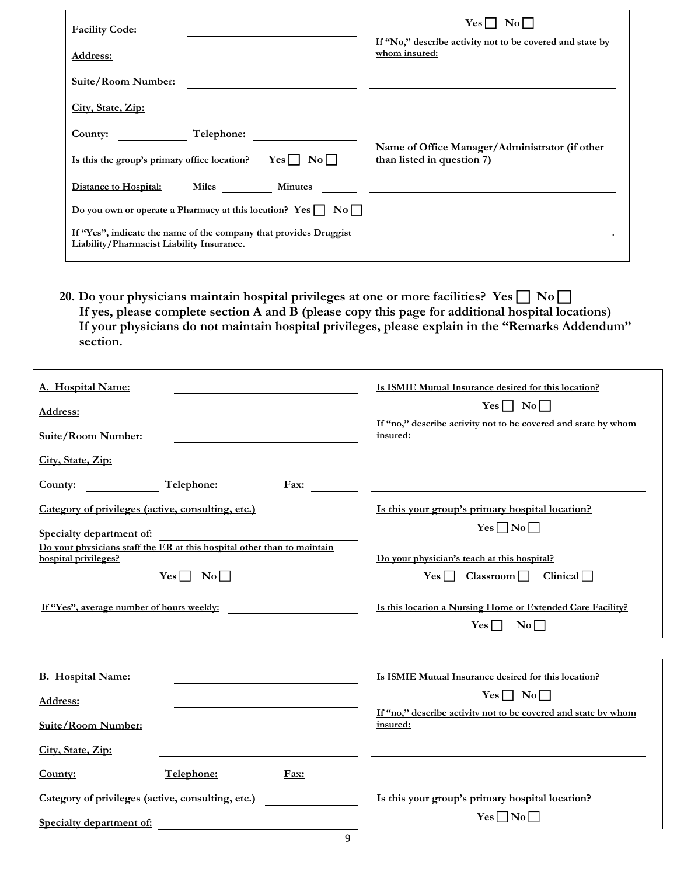| <b>Facility Code:</b>                                                                                          |              |                     | Yes     No                                                                   |
|----------------------------------------------------------------------------------------------------------------|--------------|---------------------|------------------------------------------------------------------------------|
| <b>Address:</b>                                                                                                |              |                     | If "No," describe activity not to be covered and state by<br>whom insured:   |
| <b>Suite/Room Number:</b>                                                                                      |              |                     |                                                                              |
| City, State, Zip:                                                                                              |              |                     |                                                                              |
| County:                                                                                                        | Telephone:   |                     |                                                                              |
| Is this the group's primary office location?                                                                   |              | $Yes \mid  No \mid$ | Name of Office Manager/Administrator (if other<br>than listed in question 7) |
| Distance to Hospital:                                                                                          | <b>Miles</b> | <b>Minutes</b>      |                                                                              |
| Do you own or operate a Pharmacy at this location? $Yes \Box No \Box$                                          |              |                     |                                                                              |
| If "Yes", indicate the name of the company that provides Druggist<br>Liability/Pharmacist Liability Insurance. |              |                     |                                                                              |

20. Do your physicians maintain hospital privileges at one or more facilities? Yes  $\Box$  No  $\Box$ **If yes, please complete section A and B (please copy this page for additional hospital locations) If your physicians do not maintain hospital privileges, please explain in the "Remarks Addendum" section.** 

| A. Hospital Name:                                                                               | Is ISMIE Mutual Insurance desired for this location?                                 |
|-------------------------------------------------------------------------------------------------|--------------------------------------------------------------------------------------|
| <b>Address:</b>                                                                                 | $Yes \Box No \Box$                                                                   |
| <b>Suite/Room Number:</b>                                                                       | If "no," describe activity not to be covered and state by whom<br>insured:           |
| City, State, Zip:                                                                               |                                                                                      |
| $Fast:$<br>County:<br>Telephone:                                                                |                                                                                      |
| Category of privileges (active, consulting, etc.)                                               | Is this your group's primary hospital location?                                      |
| Specialty department of:                                                                        | $Yes \Box No \Box$                                                                   |
| Do your physicians staff the ER at this hospital other than to maintain<br>hospital privileges? | Do your physician's teach at this hospital?                                          |
| $Yes \Box No \Box$                                                                              | $Yes \Box$<br>Classroom<br>Clinical $\Box$                                           |
| If "Yes", average number of hours weekly:                                                       | Is this location a Nursing Home or Extended Care Facility?<br>$Yes \Box$<br>$\bf No$ |
|                                                                                                 |                                                                                      |
| <b>B.</b> Hospital Name:                                                                        | Is ISMIE Mutual Insurance desired for this location?<br>$Yes \Box No \Box$           |
| Address:                                                                                        | If "no," describe activity not to be covered and state by whom                       |
| <b>Suite/Room Number:</b>                                                                       | insured:                                                                             |
| City, State, Zip:                                                                               |                                                                                      |
| Telephone:<br>$\frac{Fax}{ }$<br>County:                                                        |                                                                                      |
| Category of privileges (active, consulting, etc.)                                               | Is this your group's primary hospital location?                                      |
| Specialty department of:                                                                        | $Yes \Box No \Box$                                                                   |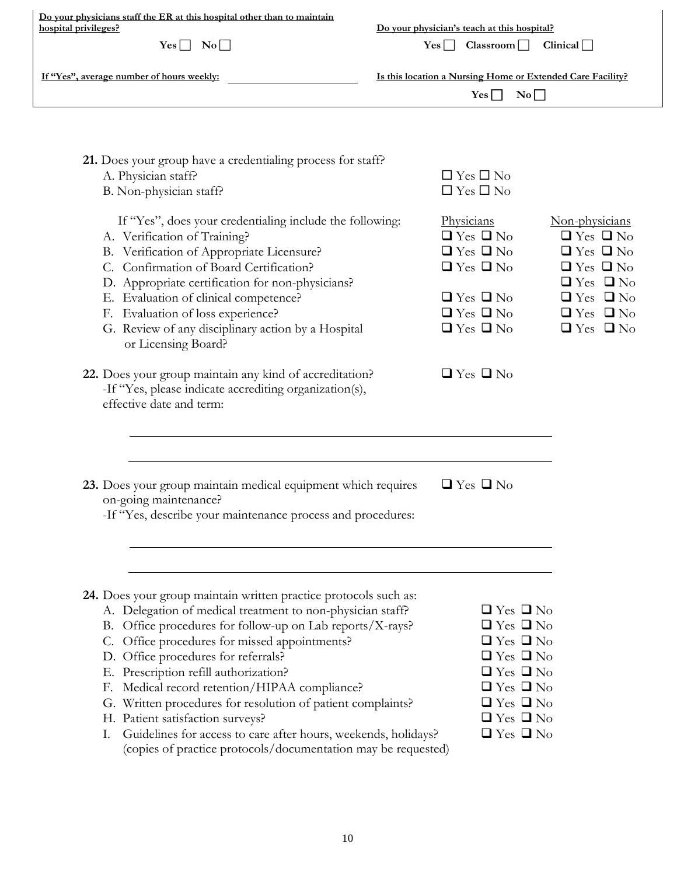| Do your physicians staff the ER at this hospital other than to maintain<br>hospital privileges?                                                                                                                                                                                                                                                                                                                                                                                                                                                                                                                                                                   | Do your physician's teach at this hospital?                                                                                                                                                                                                                                                                                                                                                                                  |
|-------------------------------------------------------------------------------------------------------------------------------------------------------------------------------------------------------------------------------------------------------------------------------------------------------------------------------------------------------------------------------------------------------------------------------------------------------------------------------------------------------------------------------------------------------------------------------------------------------------------------------------------------------------------|------------------------------------------------------------------------------------------------------------------------------------------------------------------------------------------------------------------------------------------------------------------------------------------------------------------------------------------------------------------------------------------------------------------------------|
| $Yes \Box No \Box$                                                                                                                                                                                                                                                                                                                                                                                                                                                                                                                                                                                                                                                | Classroom<br>Clinical $\Box$<br>$Yes \mid \cdot$                                                                                                                                                                                                                                                                                                                                                                             |
| If "Yes", average number of hours weekly:                                                                                                                                                                                                                                                                                                                                                                                                                                                                                                                                                                                                                         | Is this location a Nursing Home or Extended Care Facility?                                                                                                                                                                                                                                                                                                                                                                   |
|                                                                                                                                                                                                                                                                                                                                                                                                                                                                                                                                                                                                                                                                   | $\mathbf{No}$<br>$Yes \Box$                                                                                                                                                                                                                                                                                                                                                                                                  |
| 21. Does your group have a credentialing process for staff?<br>A. Physician staff?<br>B. Non-physician staff?<br>If "Yes", does your credentialing include the following:<br>A. Verification of Training?<br>B. Verification of Appropriate Licensure?<br>C. Confirmation of Board Certification?<br>D. Appropriate certification for non-physicians?<br>E. Evaluation of clinical competence?<br>F. Evaluation of loss experience?<br>G. Review of any disciplinary action by a Hospital<br>or Licensing Board?<br>22. Does your group maintain any kind of accreditation?<br>-If "Yes, please indicate accrediting organization(s),<br>effective date and term: | $\Box$ Yes $\Box$ No<br>$\Box$ Yes $\Box$ No<br>Physicians<br>Non-physicians<br>$\Box$ Yes $\Box$ No<br>$\Box$ Yes $\Box$ No<br>$\Box$ Yes $\Box$ No<br>$\Box$ Yes $\Box$ No<br>$\Box$ Yes $\Box$ No<br>$\Box$ Yes $\Box$ No<br>$\Box$ Yes $\Box$ No<br>$\Box$ Yes $\Box$ No<br>$\Box$ Yes $\Box$ No<br>$\Box$ Yes $\Box$ No<br>$\Box$ Yes $\Box$ No<br>$\Box$ Yes $\Box$ No<br>$\Box$ Yes $\Box$ No<br>$\Box$ Yes $\Box$ No |
| 23. Does your group maintain medical equipment which requires<br>on-going maintenance?<br>-If "Yes, describe your maintenance process and procedures:                                                                                                                                                                                                                                                                                                                                                                                                                                                                                                             | $\Box$ Yes $\Box$ No                                                                                                                                                                                                                                                                                                                                                                                                         |
| 24. Does your group maintain written practice protocols such as:<br>A. Delegation of medical treatment to non-physician staff?<br>B. Office procedures for follow-up on Lab reports/X-rays?<br>C. Office procedures for missed appointments?<br>D. Office procedures for referrals?<br>E. Prescription refill authorization?<br>Medical record retention/HIPAA compliance?<br>F.<br>G. Written procedures for resolution of patient complaints?<br>H. Patient satisfaction surveys?<br>Guidelines for access to care after hours, weekends, holidays?<br>Ι.<br>(copies of practice protocols/documentation may be requested)                                      | $\Box$ Yes $\Box$ No<br>$\Box$ Yes $\Box$ No<br>$\Box$ Yes $\Box$ No<br>$\Box$ Yes $\Box$ No<br>$\Box$ Yes $\Box$ No<br>$\Box$ Yes $\Box$ No<br>$\Box$ Yes $\Box$ No<br>$\Box$ Yes $\Box$ No<br>$\Box$ Yes $\Box$ No                                                                                                                                                                                                         |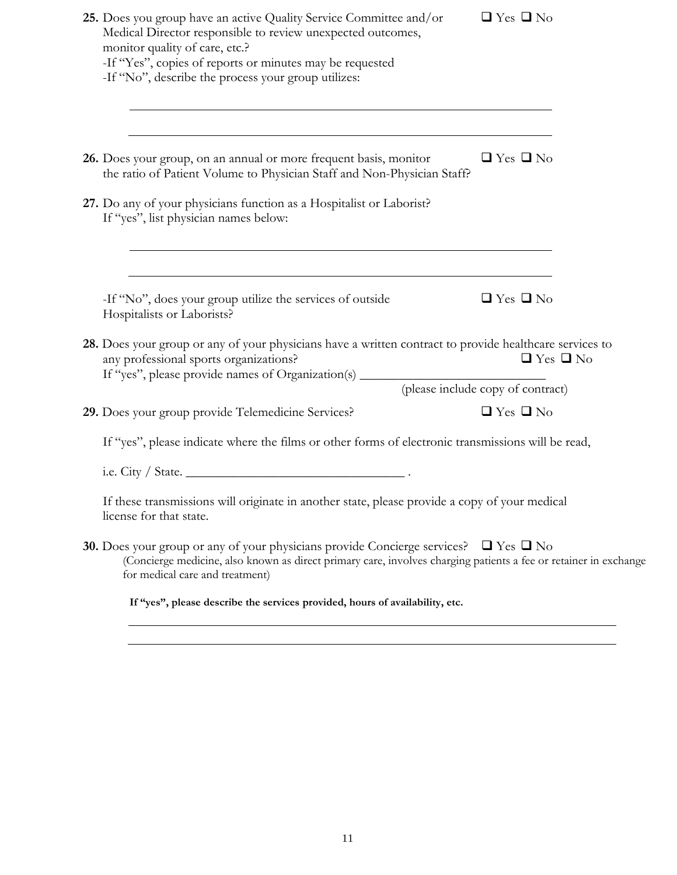| 25. Does you group have an active Quality Service Committee and/or<br>Medical Director responsible to review unexpected outcomes,<br>monitor quality of care, etc.?<br>-If "Yes", copies of reports or minutes may be requested<br>-If "No", describe the process your group utilizes: | $\Box$ Yes $\Box$ No |  |
|----------------------------------------------------------------------------------------------------------------------------------------------------------------------------------------------------------------------------------------------------------------------------------------|----------------------|--|
| 26. Does your group, on an annual or more frequent basis, monitor<br>the ratio of Patient Volume to Physician Staff and Non-Physician Staff?                                                                                                                                           | $\Box$ Yes $\Box$ No |  |
| 27. Do any of your physicians function as a Hospitalist or Laborist?<br>If "yes", list physician names below:                                                                                                                                                                          |                      |  |
| -If "No", does your group utilize the services of outside<br>Hospitalists or Laborists?                                                                                                                                                                                                | $\Box$ Yes $\Box$ No |  |
| 28. Does your group or any of your physicians have a written contract to provide healthcare services to<br>any professional sports organizations?<br>If "yes", please provide names of Organization(s) (please include copy of contract)                                               | $\Box$ Yes $\Box$ No |  |
| 29. Does your group provide Telemedicine Services?                                                                                                                                                                                                                                     | $\Box$ Yes $\Box$ No |  |
| If "yes", please indicate where the films or other forms of electronic transmissions will be read,<br>i.e. City / State.                                                                                                                                                               |                      |  |
| If these transmissions will originate in another state, please provide a copy of your medical<br>license for that state.                                                                                                                                                               |                      |  |
| <b>30.</b> Does your group or any of your physicians provide Concierge services? $\Box$ Yes $\Box$ No<br>(Concierge medicine, also known as direct primary care, involves charging patients a fee or retainer in exchange<br>for medical care and treatment)                           |                      |  |
| If "yes", please describe the services provided, hours of availability, etc.                                                                                                                                                                                                           |                      |  |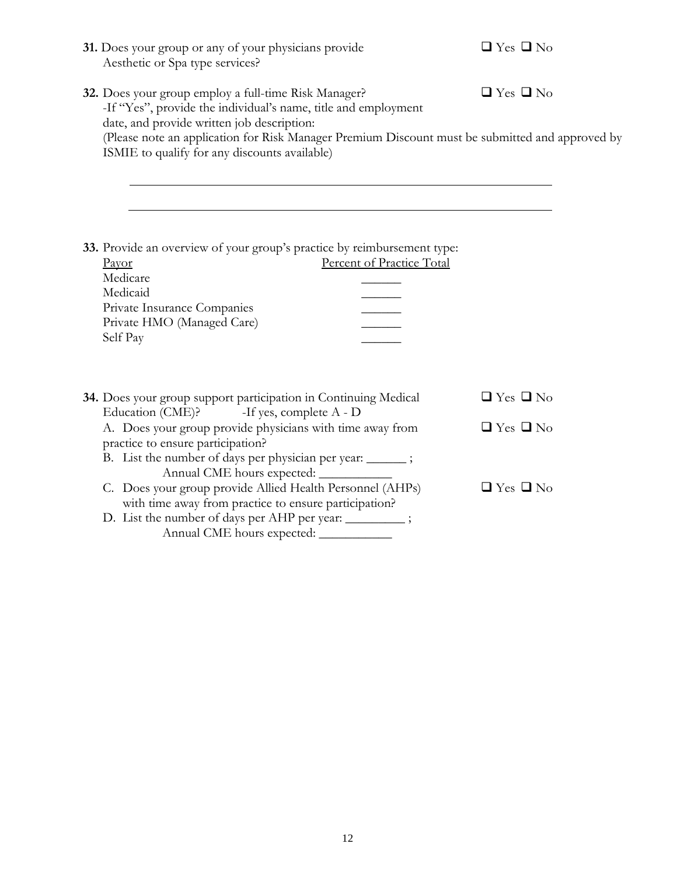|                                                                          | 31. Does your group or any of your physicians provide<br>Aesthetic or Spa type services?                                                                                                                                                                                                                                |                                                                                                 | $\Box$ Yes $\Box$ No                         |  |
|--------------------------------------------------------------------------|-------------------------------------------------------------------------------------------------------------------------------------------------------------------------------------------------------------------------------------------------------------------------------------------------------------------------|-------------------------------------------------------------------------------------------------|----------------------------------------------|--|
|                                                                          | 32. Does your group employ a full-time Risk Manager?<br>-If "Yes", provide the individual's name, title and employment<br>date, and provide written job description:<br>ISMIE to qualify for any discounts available)                                                                                                   | (Please note an application for Risk Manager Premium Discount must be submitted and approved by | $\Box$ Yes $\Box$ No                         |  |
| Payor<br>Medicare<br>Medicaid<br>Private Insurance Companies<br>Self Pay | 33. Provide an overview of your group's practice by reimbursement type:<br>Private HMO (Managed Care)                                                                                                                                                                                                                   | Percent of Practice Total                                                                       |                                              |  |
|                                                                          | 34. Does your group support participation in Continuing Medical<br>Education (CME)? - If yes, complete A - D<br>A. Does your group provide physicians with time away from<br>practice to ensure participation?<br>B. List the number of days per physician per year: ______;<br>Annual CME hours expected: ____________ |                                                                                                 | $\Box$ Yes $\Box$ No<br>$\Box$ Yes $\Box$ No |  |
|                                                                          | C. Does your group provide Allied Health Personnel (AHPs)<br>with time away from practice to ensure participation?<br>D. List the number of days per AHP per year: ________;<br>Annual CME hours expected: ____________                                                                                                 |                                                                                                 | $\Box$ Yes $\Box$ No                         |  |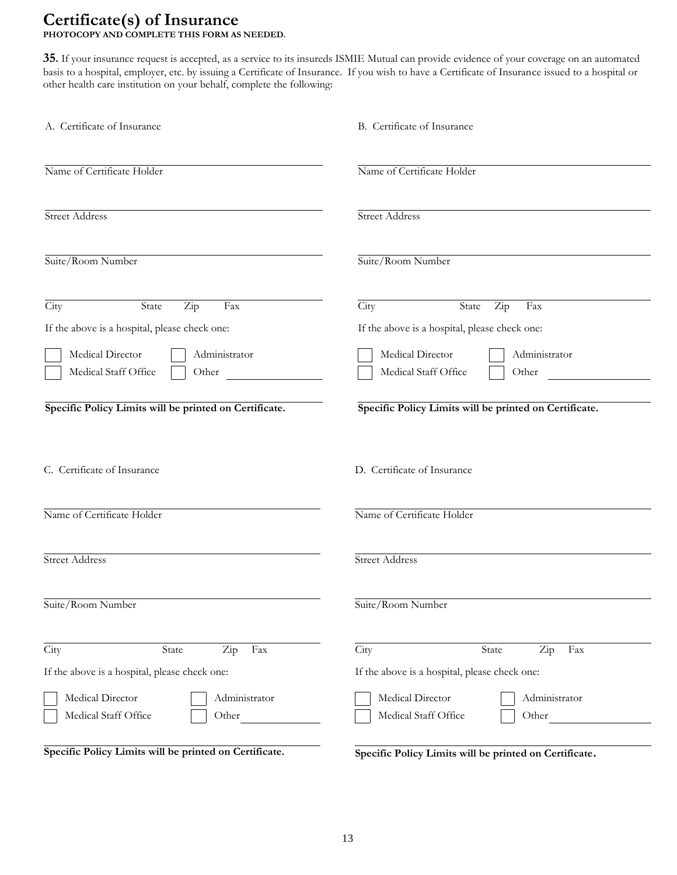# **Certificate(s) of Insurance PHOTOCOPY AND COMPLETE THIS FORM AS NEEDED.**

**35.** If your insurance request is accepted, as a service to its insureds ISMIE Mutual can provide evidence of your coverage on an automated basis to a hospital, employer, etc. by issuing a Certificate of Insurance. If you wish to have a Certificate of Insurance issued to a hospital or other health care institution on your behalf, complete the following:

| A. Certificate of Insurance                                        | B. Certificate of Insurance                                        |
|--------------------------------------------------------------------|--------------------------------------------------------------------|
| Name of Certificate Holder                                         | Name of Certificate Holder                                         |
| <b>Street Address</b>                                              | <b>Street Address</b>                                              |
| Suite/Room Number                                                  | Suite/Room Number                                                  |
| City<br>State<br>Zip<br>Fax                                        | City<br>State<br>Zip<br>Fax                                        |
| If the above is a hospital, please check one:                      | If the above is a hospital, please check one:                      |
| Medical Director<br>Administrator<br>Medical Staff Office<br>Other | Medical Director<br>Administrator<br>Medical Staff Office<br>Other |
| Specific Policy Limits will be printed on Certificate.             | Specific Policy Limits will be printed on Certificate.             |
| C. Certificate of Insurance                                        | D. Certificate of Insurance                                        |
| Name of Certificate Holder                                         | Name of Certificate Holder                                         |
| <b>Street Address</b>                                              | <b>Street Address</b>                                              |
| Suite/Room Number                                                  | Suite/Room Number                                                  |
| City<br>State<br>Fax<br>Zip                                        | City<br>State<br>Zip<br>Fax                                        |
| If the above is a hospital, please check one:                      | If the above is a hospital, please check one:                      |
| Medical Director                                                   |                                                                    |
| Administrator<br>Medical Staff Office<br>Other                     | Administrator<br>Medical Director<br>Medical Staff Office<br>Other |
| Specific Policy Limits will be printed on Certificate.             | Specific Policy Limits will be printed on Certificate.             |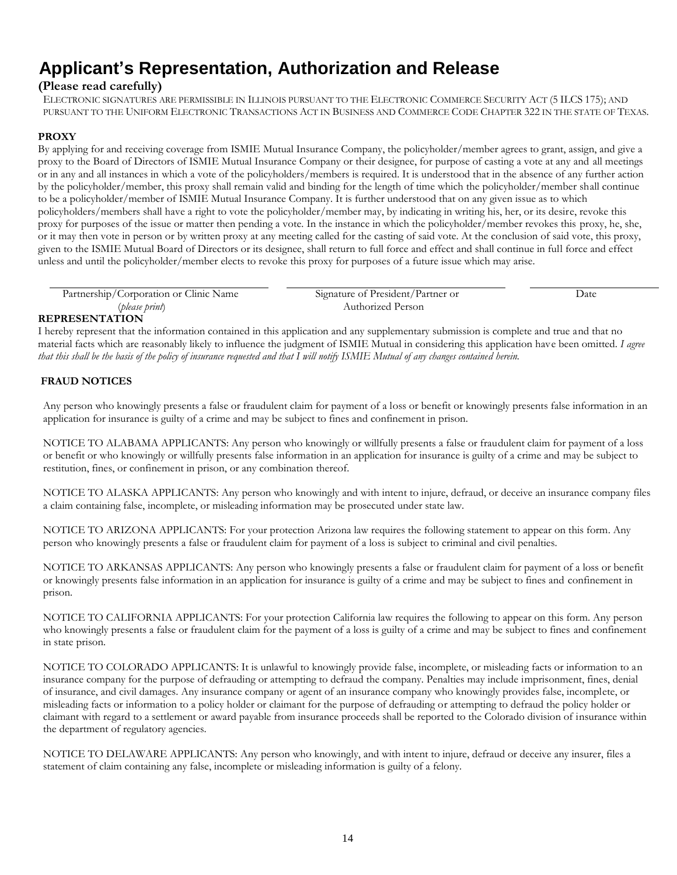# **Applicant's Representation, Authorization and Release**

### **(Please read carefully)**

ELECTRONIC SIGNATURES ARE PERMISSIBLE IN ILLINOIS PURSUANT TO THE ELECTRONIC COMMERCE SECURITY ACT (5 ILCS 175); AND PURSUANT TO THE UNIFORM ELECTRONIC TRANSACTIONS ACT IN BUSINESS AND COMMERCE CODE CHAPTER 322 IN THE STATE OF TEXAS.

#### **PROXY**

By applying for and receiving coverage from ISMIE Mutual Insurance Company, the policyholder/member agrees to grant, assign, and give a proxy to the Board of Directors of ISMIE Mutual Insurance Company or their designee, for purpose of casting a vote at any and all meetings or in any and all instances in which a vote of the policyholders/members is required. It is understood that in the absence of any further action by the policyholder/member, this proxy shall remain valid and binding for the length of time which the policyholder/member shall continue to be a policyholder/member of ISMIE Mutual Insurance Company. It is further understood that on any given issue as to which policyholders/members shall have a right to vote the policyholder/member may, by indicating in writing his, her, or its desire, revoke this proxy for purposes of the issue or matter then pending a vote. In the instance in which the policyholder/member revokes this proxy, he, she, or it may then vote in person or by written proxy at any meeting called for the casting of said vote. At the conclusion of said vote, this proxy, given to the ISMIE Mutual Board of Directors or its designee, shall return to full force and effect and shall continue in full force and effect unless and until the policyholder/member elects to revoke this proxy for purposes of a future issue which may arise.

| Partnership/Corporation or Clinic Name | Signature of President/Partner or | Date |
|----------------------------------------|-----------------------------------|------|
| (please print)                         | Authorized Person                 |      |

### **REPRESENTATION**

I hereby represent that the information contained in this application and any supplementary submission is complete and true and that no material facts which are reasonably likely to influence the judgment of ISMIE Mutual in considering this application have been omitted. *I agree that this shall be the basis of the policy of insurance requested and that I will notify ISMIE Mutual of any changes contained herein.*

#### **FRAUD NOTICES**

Any person who knowingly presents a false or fraudulent claim for payment of a loss or benefit or knowingly presents false information in an application for insurance is guilty of a crime and may be subject to fines and confinement in prison.

NOTICE TO ALABAMA APPLICANTS: Any person who knowingly or willfully presents a false or fraudulent claim for payment of a loss or benefit or who knowingly or willfully presents false information in an application for insurance is guilty of a crime and may be subject to restitution, fines, or confinement in prison, or any combination thereof.

NOTICE TO ALASKA APPLICANTS: Any person who knowingly and with intent to injure, defraud, or deceive an insurance company files a claim containing false, incomplete, or misleading information may be prosecuted under state law.

NOTICE TO ARIZONA APPLICANTS: For your protection Arizona law requires the following statement to appear on this form. Any person who knowingly presents a false or fraudulent claim for payment of a loss is subject to criminal and civil penalties.

NOTICE TO ARKANSAS APPLICANTS: Any person who knowingly presents a false or fraudulent claim for payment of a loss or benefit or knowingly presents false information in an application for insurance is guilty of a crime and may be subject to fines and confinement in prison.

NOTICE TO CALIFORNIA APPLICANTS: For your protection California law requires the following to appear on this form. Any person who knowingly presents a false or fraudulent claim for the payment of a loss is guilty of a crime and may be subject to fines and confinement in state prison.

NOTICE TO COLORADO APPLICANTS: It is unlawful to knowingly provide false, incomplete, or misleading facts or information to an insurance company for the purpose of defrauding or attempting to defraud the company. Penalties may include imprisonment, fines, denial of insurance, and civil damages. Any insurance company or agent of an insurance company who knowingly provides false, incomplete, or misleading facts or information to a policy holder or claimant for the purpose of defrauding or attempting to defraud the policy holder or claimant with regard to a settlement or award payable from insurance proceeds shall be reported to the Colorado division of insurance within the department of regulatory agencies.

NOTICE TO DELAWARE APPLICANTS: Any person who knowingly, and with intent to injure, defraud or deceive any insurer, files a statement of claim containing any false, incomplete or misleading information is guilty of a felony.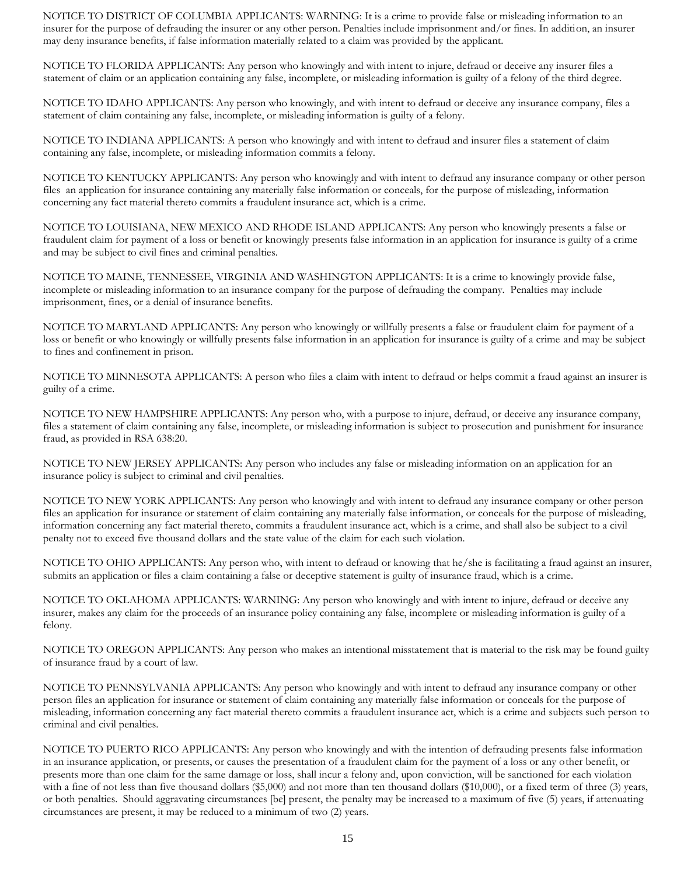NOTICE TO DISTRICT OF COLUMBIA APPLICANTS: WARNING: It is a crime to provide false or misleading information to an insurer for the purpose of defrauding the insurer or any other person. Penalties include imprisonment and/or fines. In addition, an insurer may deny insurance benefits, if false information materially related to a claim was provided by the applicant.

NOTICE TO FLORIDA APPLICANTS: Any person who knowingly and with intent to injure, defraud or deceive any insurer files a statement of claim or an application containing any false, incomplete, or misleading information is guilty of a felony of the third degree.

NOTICE TO IDAHO APPLICANTS: Any person who knowingly, and with intent to defraud or deceive any insurance company, files a statement of claim containing any false, incomplete, or misleading information is guilty of a felony.

NOTICE TO INDIANA APPLICANTS: A person who knowingly and with intent to defraud and insurer files a statement of claim containing any false, incomplete, or misleading information commits a felony.

NOTICE TO KENTUCKY APPLICANTS: Any person who knowingly and with intent to defraud any insurance company or other person files an application for insurance containing any materially false information or conceals, for the purpose of misleading, information concerning any fact material thereto commits a fraudulent insurance act, which is a crime.

NOTICE TO LOUISIANA, NEW MEXICO AND RHODE ISLAND APPLICANTS: Any person who knowingly presents a false or fraudulent claim for payment of a loss or benefit or knowingly presents false information in an application for insurance is guilty of a crime and may be subject to civil fines and criminal penalties.

NOTICE TO MAINE, TENNESSEE, VIRGINIA AND WASHINGTON APPLICANTS: It is a crime to knowingly provide false, incomplete or misleading information to an insurance company for the purpose of defrauding the company. Penalties may include imprisonment, fines, or a denial of insurance benefits.

NOTICE TO MARYLAND APPLICANTS: Any person who knowingly or willfully presents a false or fraudulent claim for payment of a loss or benefit or who knowingly or willfully presents false information in an application for insurance is guilty of a crime and may be subject to fines and confinement in prison.

NOTICE TO MINNESOTA APPLICANTS: A person who files a claim with intent to defraud or helps commit a fraud against an insurer is guilty of a crime.

NOTICE TO NEW HAMPSHIRE APPLICANTS: Any person who, with a purpose to injure, defraud, or deceive any insurance company, files a statement of claim containing any false, incomplete, or misleading information is subject to prosecution and punishment for insurance fraud, as provided in RSA 638:20.

NOTICE TO NEW JERSEY APPLICANTS: Any person who includes any false or misleading information on an application for an insurance policy is subject to criminal and civil penalties.

NOTICE TO NEW YORK APPLICANTS: Any person who knowingly and with intent to defraud any insurance company or other person files an application for insurance or statement of claim containing any materially false information, or conceals for the purpose of misleading, information concerning any fact material thereto, commits a fraudulent insurance act, which is a crime, and shall also be subject to a civil penalty not to exceed five thousand dollars and the state value of the claim for each such violation.

NOTICE TO OHIO APPLICANTS: Any person who, with intent to defraud or knowing that he/she is facilitating a fraud against an insurer, submits an application or files a claim containing a false or deceptive statement is guilty of insurance fraud, which is a crime.

NOTICE TO OKLAHOMA APPLICANTS: WARNING: Any person who knowingly and with intent to injure, defraud or deceive any insurer, makes any claim for the proceeds of an insurance policy containing any false, incomplete or misleading information is guilty of a felony.

NOTICE TO OREGON APPLICANTS: Any person who makes an intentional misstatement that is material to the risk may be found guilty of insurance fraud by a court of law.

NOTICE TO PENNSYLVANIA APPLICANTS: Any person who knowingly and with intent to defraud any insurance company or other person files an application for insurance or statement of claim containing any materially false information or conceals for the purpose of misleading, information concerning any fact material thereto commits a fraudulent insurance act, which is a crime and subjects such person to criminal and civil penalties.

NOTICE TO PUERTO RICO APPLICANTS: Any person who knowingly and with the intention of defrauding presents false information in an insurance application, or presents, or causes the presentation of a fraudulent claim for the payment of a loss or any other benefit, or presents more than one claim for the same damage or loss, shall incur a felony and, upon conviction, will be sanctioned for each violation with a fine of not less than five thousand dollars (\$5,000) and not more than ten thousand dollars (\$10,000), or a fixed term of three (3) years, or both penalties. Should aggravating circumstances [be] present, the penalty may be increased to a maximum of five (5) years, if attenuating circumstances are present, it may be reduced to a minimum of two (2) years.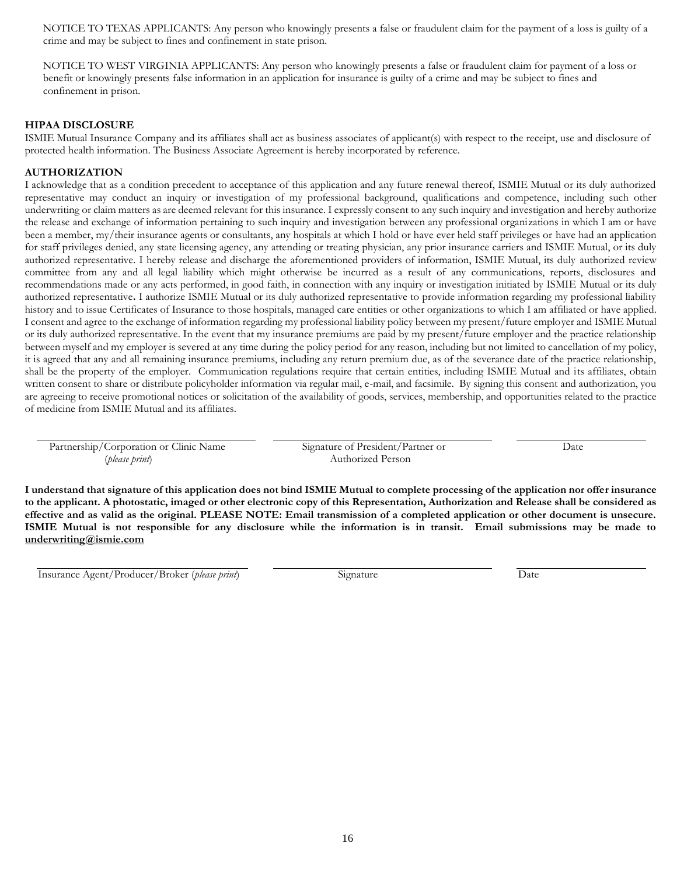NOTICE TO TEXAS APPLICANTS: Any person who knowingly presents a false or fraudulent claim for the payment of a loss is guilty of a crime and may be subject to fines and confinement in state prison.

NOTICE TO WEST VIRGINIA APPLICANTS: Any person who knowingly presents a false or fraudulent claim for payment of a loss or benefit or knowingly presents false information in an application for insurance is guilty of a crime and may be subject to fines and confinement in prison.

#### **HIPAA DISCLOSURE**

ISMIE Mutual Insurance Company and its affiliates shall act as business associates of applicant(s) with respect to the receipt, use and disclosure of protected health information. The Business Associate Agreement is hereby incorporated by reference.

#### **AUTHORIZATION**

I acknowledge that as a condition precedent to acceptance of this application and any future renewal thereof, ISMIE Mutual or its duly authorized representative may conduct an inquiry or investigation of my professional background, qualifications and competence, including such other underwriting or claim matters as are deemed relevant for this insurance. I expressly consent to any such inquiry and investigation and hereby authorize the release and exchange of information pertaining to such inquiry and investigation between any professional organizations in which I am or have been a member, my/their insurance agents or consultants, any hospitals at which I hold or have ever held staff privileges or have had an application for staff privileges denied, any state licensing agency, any attending or treating physician, any prior insurance carriers and ISMIE Mutual, or its duly authorized representative. I hereby release and discharge the aforementioned providers of information, ISMIE Mutual, its duly authorized review committee from any and all legal liability which might otherwise be incurred as a result of any communications, reports, disclosures and recommendations made or any acts performed, in good faith, in connection with any inquiry or investigation initiated by ISMIE Mutual or its duly authorized representative**.** I authorize ISMIE Mutual or its duly authorized representative to provide information regarding my professional liability history and to issue Certificates of Insurance to those hospitals, managed care entities or other organizations to which I am affiliated or have applied. I consent and agree to the exchange of information regarding my professional liability policy between my present/future employer and ISMIE Mutual or its duly authorized representative. In the event that my insurance premiums are paid by my present/future employer and the practice relationship between myself and my employer is severed at any time during the policy period for any reason, including but not limited to cancellation of my policy, it is agreed that any and all remaining insurance premiums, including any return premium due, as of the severance date of the practice relationship, shall be the property of the employer. Communication regulations require that certain entities, including ISMIE Mutual and its affiliates, obtain written consent to share or distribute policyholder information via regular mail, e-mail, and facsimile. By signing this consent and authorization, you are agreeing to receive promotional notices or solicitation of the availability of goods, services, membership, and opportunities related to the practice of medicine from ISMIE Mutual and its affiliates.

 Partnership/Corporation or Clinic Name (*please print*)

 Signature of President/Partner or Authorized Person

Date

**I understand that signature of this application does not bind ISMIE Mutual to complete processing of the application nor offer insurance to the applicant. A photostatic, imaged or other electronic copy of this Representation, Authorization and Release shall be considered as effective and as valid as the original. PLEASE NOTE: Email transmission of a completed application or other document is unsecure. ISMIE Mutual is not responsible for any disclosure while the information is in transit. Email submissions may be made to [underwriting@ismie.com](mailto:underwriting@ismie.com)** 

Insurance Agent/Producer/Broker (*please print*) Signature Date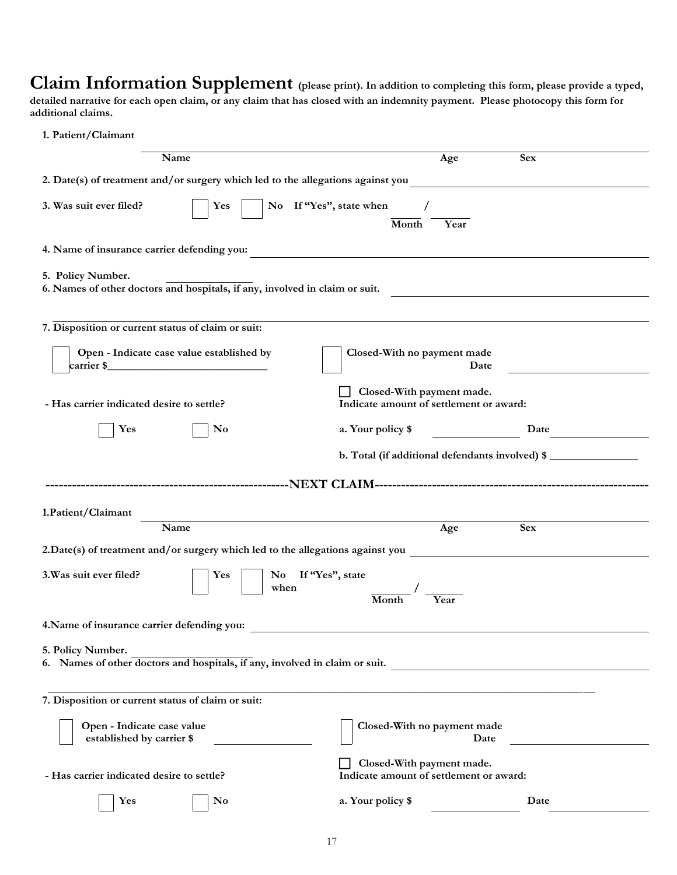**Claim Information Supplement (please print). In addition to completing this form, please provide a typed, detailed narrative for each open claim, or any claim that has closed with an indemnity payment. Please photocopy this form for additional claims.** 

**1. Patient/Claimant** 

| Name                                                                                             | Age                                                                  | <b>Sex</b> |
|--------------------------------------------------------------------------------------------------|----------------------------------------------------------------------|------------|
| 2. Date(s) of treatment and/or surgery which led to the allegations against you                  |                                                                      |            |
| No If "Yes", state when<br>3. Was suit ever filed?<br><b>Yes</b>                                 |                                                                      |            |
|                                                                                                  | Month<br>Year                                                        |            |
|                                                                                                  |                                                                      |            |
| 4. Name of insurance carrier defending you:                                                      |                                                                      |            |
| 5. Policy Number.<br>6. Names of other doctors and hospitals, if any, involved in claim or suit. |                                                                      |            |
| 7. Disposition or current status of claim or suit:                                               |                                                                      |            |
| Open - Indicate case value established by                                                        | Closed-With no payment made<br>Date                                  |            |
| - Has carrier indicated desire to settle?                                                        | Closed-With payment made.<br>Indicate amount of settlement or award: |            |
| Yes<br>N <sub>0</sub>                                                                            | a. Your policy \$                                                    | Date       |
|                                                                                                  |                                                                      |            |
|                                                                                                  | b. Total (if additional defendants involved) \$                      |            |
|                                                                                                  |                                                                      |            |
|                                                                                                  |                                                                      |            |
| 1.Patient/Claimant                                                                               |                                                                      |            |
| Name                                                                                             | Age                                                                  | <b>Sex</b> |
|                                                                                                  |                                                                      |            |
| 2. Date(s) of treatment and/or surgery which led to the allegations against you                  |                                                                      |            |
| 3. Was suit ever filed?<br>No If "Yes", state<br>Yes<br>when                                     | Month<br>Year                                                        |            |
| 4. Name of insurance carrier defending you:                                                      |                                                                      |            |
| 5. Policy Number.<br>6. Names of other doctors and hospitals, if any, involved in claim or suit. |                                                                      |            |
| 7. Disposition or current status of claim or suit:                                               |                                                                      |            |
| Open - Indicate case value<br>established by carrier \$                                          | Closed-With no payment made<br>Date                                  |            |
|                                                                                                  | Closed-With payment made.                                            |            |
| - Has carrier indicated desire to settle?                                                        | Indicate amount of settlement or award:                              |            |
| Yes<br>$\mathbf{N}$ <sub>0</sub>                                                                 | a. Your policy \$                                                    | Date       |